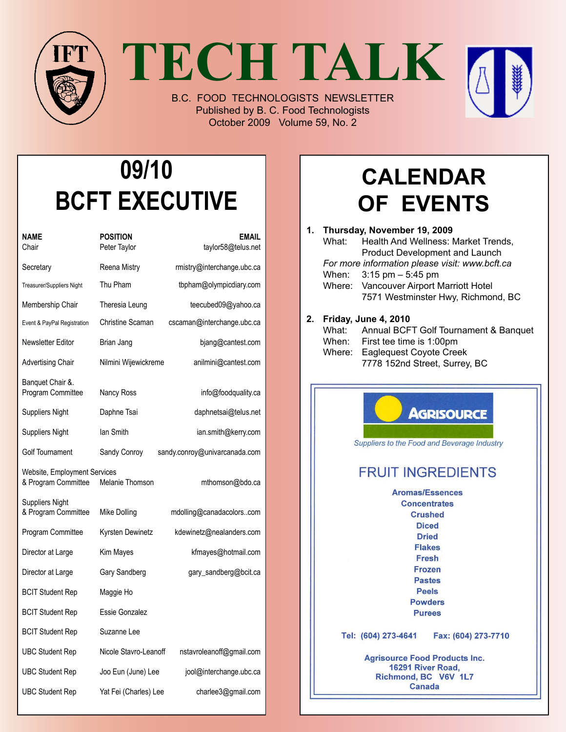

**TECH TALK**

B.C. FOOD TECHNOLOGISTS NEWSLETTER Published by B. C. Food Technologists October 2009 Volume 59, No. 2

# **09/10 BCFT EXECUTIVE**

| NAME<br>Chair                                       | <b>POSITION</b><br>Peter Taylor | <b>EMAIL</b><br>taylor58@telus.net |
|-----------------------------------------------------|---------------------------------|------------------------------------|
| Secretary                                           | Reena Mistry                    | rmistry@interchange.ubc.ca         |
| Treasurer/Suppliers Night                           | Thu Pham                        | tbpham@olympicdiary.com            |
| Membership Chair                                    | Theresia Leung                  | teecubed09@yahoo.ca                |
| Event & PayPal Registration                         | Christine Scaman                | cscaman@interchange.ubc.ca         |
| Newsletter Editor                                   | Brian Jang                      | bjang@cantest.com                  |
| Advertising Chair                                   | Nilmini Wijewickreme            | anilmini@cantest.com               |
| Banquet Chair &.<br>Program Committee               | Nancy Ross                      | info@foodquality.ca                |
| Suppliers Night                                     | Daphne Tsai                     | daphnetsai@telus.net               |
| Suppliers Night                                     | lan Smith                       | ian.smith@kerry.com                |
| <b>Golf Tournament</b>                              | Sandy Conroy                    | sandy.conroy@univarcanada.com      |
| Website, Employment Services<br>& Program Committee | Melanie Thomson                 | mthomson@bdo.ca                    |
| Suppliers Night<br>& Program Committee              | Mike Dolling                    | mdolling@canadacolorscom           |
| Program Committee                                   | Kyrsten Dewinetz                | kdewinetz@nealanders.com           |
| Director at Large                                   | Kim Mayes                       | kfmayes@hotmail.com                |
| Director at Large                                   | Gary Sandberg                   | gary_sandberg@bcit.ca              |
| <b>BCIT Student Rep</b>                             | Maggie Ho                       |                                    |
| <b>BCIT Student Rep</b>                             | Essie Gonzalez                  |                                    |
| <b>BCIT Student Rep</b>                             | Suzanne Lee                     |                                    |
| UBC Student Rep                                     | Nicole Stavro-Leanoff           | nstavroleanoff@gmail.com           |
| <b>UBC Student Rep</b>                              | Joo Eun (June) Lee              | jool@interchange.ubc.ca            |
| UBC Student Rep                                     | Yat Fei (Charles) Lee           | charlee3@gmail.com                 |

## **Calendar of Events**

| 1. | Thursday, November 19, 2009<br>What:<br>Health And Wellness: Market Trends,<br><b>Product Development and Launch</b><br>For more information please visit: www.bcft.ca<br>$3:15$ pm $-5:45$ pm<br>When:<br>Vancouver Airport Marriott Hotel<br>Where:<br>7571 Westminster Hwy, Richmond, BC |
|----|---------------------------------------------------------------------------------------------------------------------------------------------------------------------------------------------------------------------------------------------------------------------------------------------|
| 2. | Friday, June 4, 2010<br>Annual BCFT Golf Tournament & Banquet<br>What:<br>When:<br>First tee time is 1:00pm<br>Where: Eaglequest Coyote Creek<br>7778 152nd Street, Surrey, BC                                                                                                              |
|    | <b>AGRISOURCE</b><br>Suppliers to the Food and Beverage Industry<br><b>FRUIT INGREDIENTS</b>                                                                                                                                                                                                |
|    | <b>Aromas/Essences</b><br><b>Concentrates</b><br><b>Crushed</b><br><b>Diced</b><br><b>Dried</b><br><b>Flakes</b><br>Fresh<br>Frozen<br><b>Pastes</b><br>Peels<br><b>Powders</b><br><b>Purees</b>                                                                                            |
|    | Tel: (604) 273-4641<br>Fax: (604) 273-7710<br><b>Agrisource Food Products Inc.</b><br>16291 River Road.<br>Richmond, BC V6V 1L7<br>Canada                                                                                                                                                   |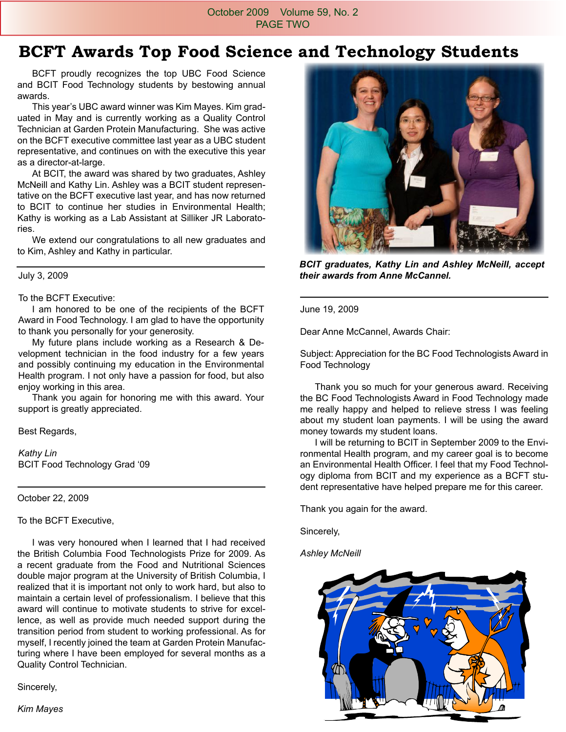#### October 2009 Volume 59, No. 2 PAGE TWO

### **BCFT Awards Top Food Science and Technology Students**

 BCFT proudly recognizes the top UBC Food Science and BCIT Food Technology students by bestowing annual awards.

 This year's UBC award winner was Kim Mayes. Kim graduated in May and is currently working as a Quality Control Technician at Garden Protein Manufacturing. She was active on the BCFT executive committee last year as a UBC student representative, and continues on with the executive this year as a director-at-large.

 At BCIT, the award was shared by two graduates, Ashley McNeill and Kathy Lin. Ashley was a BCIT student representative on the BCFT executive last year, and has now returned to BCIT to continue her studies in Environmental Health; Kathy is working as a Lab Assistant at Silliker JR Laboratories.

 We extend our congratulations to all new graduates and to Kim, Ashley and Kathy in particular.

#### July 3, 2009

#### To the BCFT Executive:

 I am honored to be one of the recipients of the BCFT Award in Food Technology. I am glad to have the opportunity to thank you personally for your generosity.

 My future plans include working as a Research & Development technician in the food industry for a few years and possibly continuing my education in the Environmental Health program. I not only have a passion for food, but also enjoy working in this area.

 Thank you again for honoring me with this award. Your support is greatly appreciated.

Best Regards,

*Kathy Lin* BCIT Food Technology Grad '09

October 22, 2009

To the BCFT Executive,

 I was very honoured when I learned that I had received the British Columbia Food Technologists Prize for 2009. As a recent graduate from the Food and Nutritional Sciences double major program at the University of British Columbia, I realized that it is important not only to work hard, but also to maintain a certain level of professionalism. I believe that this award will continue to motivate students to strive for excellence, as well as provide much needed support during the transition period from student to working professional. As for myself, I recently joined the team at Garden Protein Manufacturing where I have been employed for several months as a Quality Control Technician.

Sincerely,



*BCIT graduates, Kathy Lin and Ashley McNeill, accept their awards from Anne McCannel.* 

June 19, 2009

Dear Anne McCannel, Awards Chair:

Subject: Appreciation for the BC Food Technologists Award in Food Technology

 Thank you so much for your generous award. Receiving the BC Food Technologists Award in Food Technology made me really happy and helped to relieve stress I was feeling about my student loan payments. I will be using the award money towards my student loans.

 I will be returning to BCIT in September 2009 to the Environmental Health program, and my career goal is to become an Environmental Health Officer. I feel that my Food Technology diploma from BCIT and my experience as a BCFT student representative have helped prepare me for this career.

Thank you again for the award.

Sincerely,

*Ashley McNeill*



*Kim Mayes*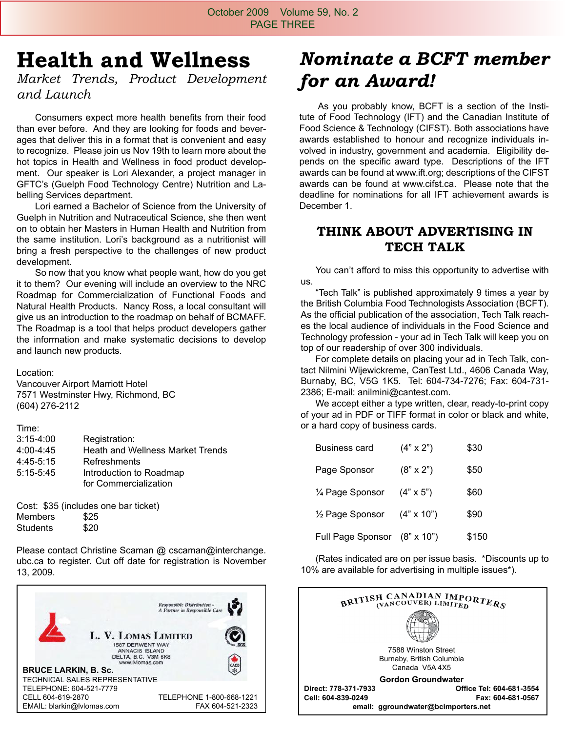## **Health and Wellness**

*Market Trends, Product Development and Launch* 

 Consumers expect more health benefits from their food than ever before. And they are looking for foods and beverages that deliver this in a format that is convenient and easy to recognize. Please join us Nov 19th to learn more about the hot topics in Health and Wellness in food product development. Our speaker is Lori Alexander, a project manager in GFTC's (Guelph Food Technology Centre) Nutrition and Labelling Services department.

 Lori earned a Bachelor of Science from the University of Guelph in Nutrition and Nutraceutical Science, she then went on to obtain her Masters in Human Health and Nutrition from the same institution. Lori's background as a nutritionist will bring a fresh perspective to the challenges of new product development.

 So now that you know what people want, how do you get it to them? Our evening will include an overview to the NRC Roadmap for Commercialization of Functional Foods and Natural Health Products. Nancy Ross, a local consultant will give us an introduction to the roadmap on behalf of BCMAFF. The Roadmap is a tool that helps product developers gather the information and make systematic decisions to develop and launch new products.

Location:

Vancouver Airport Marriott Hotel 7571 Westminster Hwy, Richmond, BC (604) 276-2112

| Time:                                                         |  |
|---------------------------------------------------------------|--|
| $3:15 - 4:00$<br>Registration:                                |  |
| 4:00-4:45<br><b>Heath and Wellness Market Trends</b>          |  |
| Refreshments<br>4:45-5:15                                     |  |
| 5:15-5:45<br>Introduction to Roadmap<br>for Commercialization |  |

Cost: \$35 (includes one bar ticket) Members \$25 Students \$20

Please contact Christine Scaman @ cscaman@interchange. ubc.ca to register. Cut off date for registration is November 13, 2009.



### *Nominate a BCFT member for an Award!*

 As you probably know, BCFT is a section of the Institute of Food Technology (IFT) and the Canadian Institute of Food Science & Technology (CIFST). Both associations have awards established to honour and recognize individuals involved in industry, government and academia. Eligibility depends on the specific award type. Descriptions of the IFT awards can be found at www.ift.org; descriptions of the CIFST awards can be found at www.cifst.ca. Please note that the deadline for nominations for all IFT achievement awards is December 1.

#### **THINK ABOUT ADVERTISING IN TECH TALK**

 You can't afford to miss this opportunity to advertise with us.

 "Tech Talk" is published approximately 9 times a year by the British Columbia Food Technologists Association (BCFT). As the official publication of the association, Tech Talk reaches the local audience of individuals in the Food Science and Technology profession - your ad in Tech Talk will keep you on top of our readership of over 300 individuals.

 For complete details on placing your ad in Tech Talk, contact Nilmini Wijewickreme, CanTest Ltd., 4606 Canada Way, Burnaby, BC, V5G 1K5. Tel: 604-734-7276; Fax: 604-731- 2386; E-mail: anilmini@cantest.com.

 We accept either a type written, clear, ready-to-print copy of your ad in PDF or TIFF format in color or black and white, or a hard copy of business cards.

| <b>Business card</b>         | $(4" \times 2")$  | \$30  |
|------------------------------|-------------------|-------|
| Page Sponsor                 | $(8" \times 2")$  | \$50  |
| 1/4 Page Sponsor             | $(4" \times 5")$  | \$60  |
| 1/ <sub>2</sub> Page Sponsor | $(4" \times 10")$ | \$90  |
| Full Page Sponsor            | $(8" \times 10")$ | \$150 |

 (Rates indicated are on per issue basis. \*Discounts up to 10% are available for advertising in multiple issues\*).

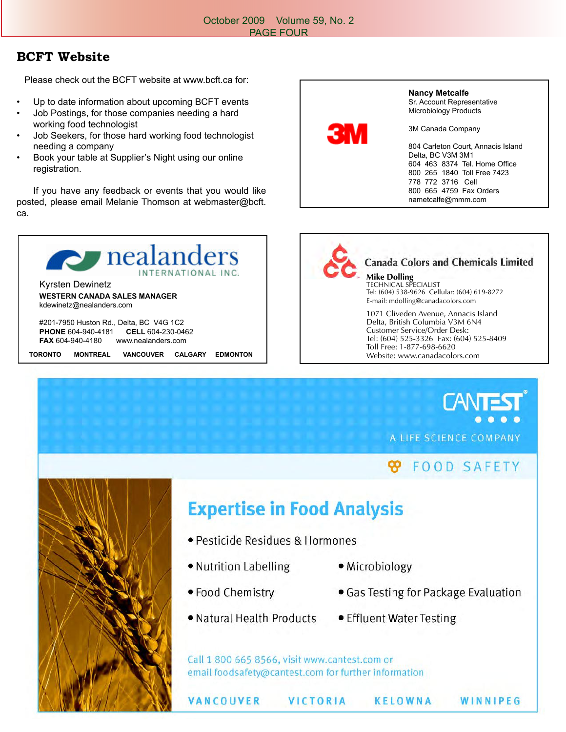#### **BCFT Website**

Please check out the BCFT website at www.bcft.ca for:

- Up to date information about upcoming BCFT events
- Job Postings, for those companies needing a hard working food technologist
- Job Seekers, for those hard working food technologist needing a company
- Book your table at Supplier's Night using our online registration.

 If you have any feedback or events that you would like posted, please email Melanie Thomson at webmaster@bcft. ca.



**PHONE** 604-940-4181 **CELL** 604-230-0462 **FAX** 604-940-4180 www.nealanders.com

**TORONTO MONTREAL VANCOUVER CALGARY EDMONTON**





#### **Canada Colors and Chemicals Limited**

**Mike Dolling** TECHNICAL SPECIALIST Tel: (604) 538-9626 Cellular: (604) 619-8272 E-mail: mdolling@canadacolors.com

1071 Cliveden Avenue, Annacis Island Delta, British Columbia V3M 6N4 Customer Service/Order Desk: Tel: (604) 525-3326 Fax: (604) 525-8409 Toll Free: 1-877-698-6620 Website: www.canadacolors.com

A LIFE SCIENCE COMPANY

### **FOOD SAFETY**



## **Expertise in Food Analysis**

- · Pesticide Residues & Hormones
- Nutrition Labelling
- Microbiology
- Food Chemistry
- Natural Health Products
- Gas Testing for Package Evaluation
- Effluent Water Testing

Call 1 800 665 8566, visit www.cantest.com or email foodsafety@cantest.com for further information

VANCOUVER

**VICTORIA** 

KELOWNA

WINNIPEG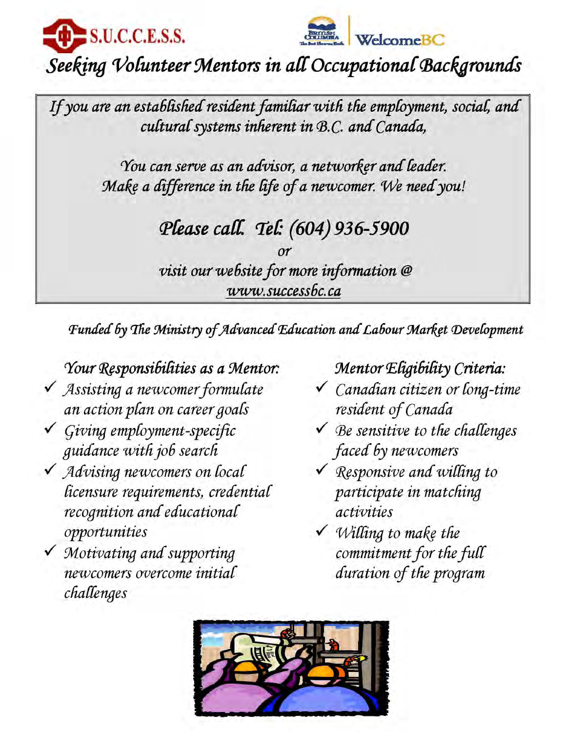



## Seeking Volunteer Mentors in all Occupational Backgrounds

If you are an established resident familiar with the employment, social, and cultural systems inherent in B.C. and Canada,

> You can serve as an advisor, a networker and leader. Make a difference in the life of a newcomer. We need you!

### Please call. Tel: (604) 936-5900

visit our website for more information @ www.successbc.ca

Funded by The Ministry of Advanced Education and Labour Market Development

### Your Responsibilities as a Mentor.

- √ Assisting a newcomer formulate an action plan on career goals
- $\checkmark$  Giving employment-specific guidance with job search
- √ Advising newcomers on local licensure requirements, credential recognition and educational opportunities
- V Motivating and supporting newcomers overcome initial challenges

### Mentor Eligibility Criteria:

- √ Canadian citizen or long-time resident of Canada
- $\checkmark$  Be sensitive to the challenges faced by newcomers
- $\checkmark$  Responsive and willing to participate in matching activities
- $\checkmark$  Willing to make the commitment for the full duration of the program